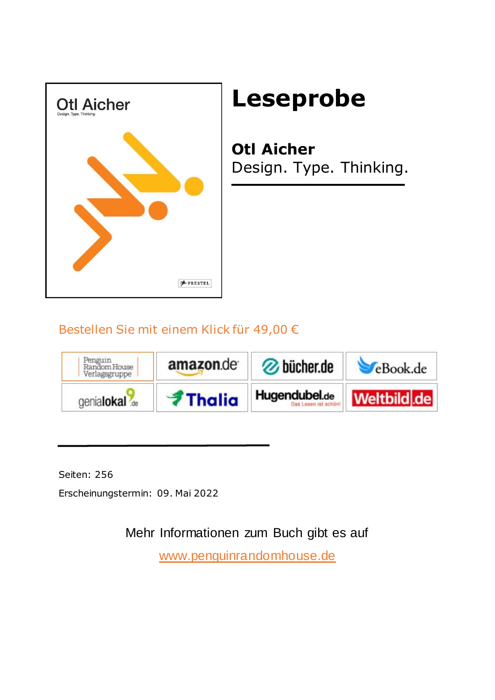

## **Leseprobe**

**Otl Aicher** Design. Type. Thinking.

## Bestellen Sie mit einem Klick für 49,00 €



Seiten: 256

Erscheinungstermin: 09. Mai 2022

Mehr Informationen zum Buch gibt es auf

<www.penguinrandomhouse.de>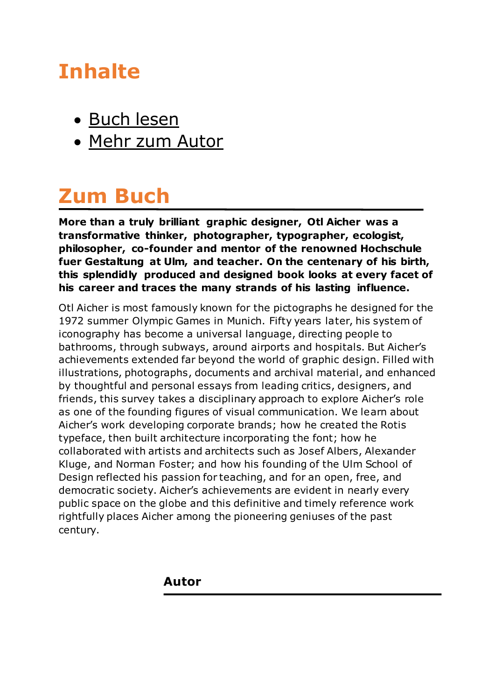## **Inhalte**

- [Buch lesen](#page-3-0)
- [Mehr zum Autor](#page-1-0)

## **Zum Buch**

**More than a truly brilliant graphic designer, Otl Aicher was a transformative thinker, photographer, typographer, ecologist, philosopher, co-founder and mentor of the renowned Hochschule fuer Gestaltung at Ulm, and teacher. On the centenary of his birth, this splendidly produced and designed book looks at every facet of his career and traces the many strands of his lasting influence.**

Otl Aicher is most famously known for the pictographs he designed for the 1972 summer Olympic Games in Munich. Fifty years later, his system of iconography has become a universal language, directing people to bathrooms, through subways, around airports and hospitals. But Aicher's achievements extended far beyond the world of graphic design. Filled with illustrations, photographs, documents and archival material, and enhanced by thoughtful and personal essays from leading critics, designers, and friends, this survey takes a disciplinary approach to explore Aicher's role as one of the founding figures of visual communication. We learn about Aicher's work developing corporate brands; how he created the Rotis typeface, then built architecture incorporating the font; how he collaborated with artists and architects such as Josef Albers, Alexander Kluge, and Norman Foster; and how his founding of the Ulm School of Design reflected his passion for teaching, and for an open, free, and democratic society. Aicher's achievements are evident in nearly every public space on the globe and this definitive and timely reference work rightfully places Aicher among the pioneering geniuses of the past century.

<span id="page-1-0"></span>**Autor**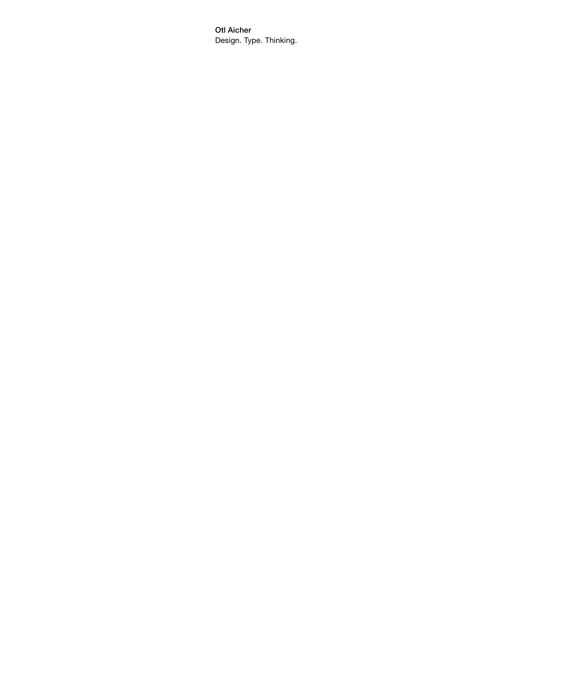Otl Aicher Design. Type. Thinking.